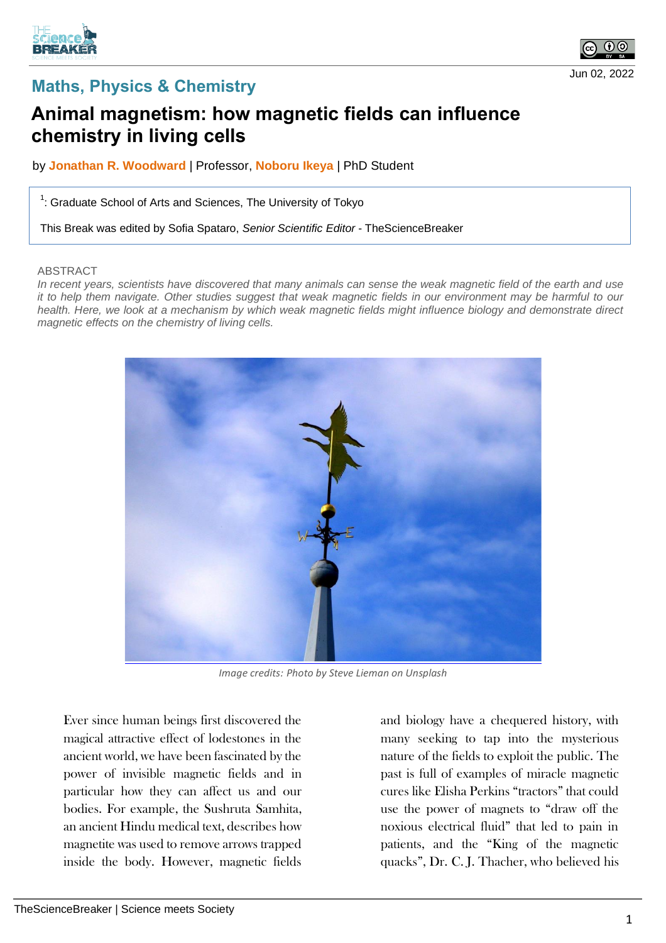





## **Animal magnetism: how magnetic fields can influence chemistry in living cells**

by **Jonathan R. Woodward** | Professor, **Noboru Ikeya** | PhD Student

 $1$ : Graduate School of Arts and Sciences, The University of Tokyo

This Break was edited by Sofia Spataro, *Senior Scientific Editor* - TheScienceBreaker

## ABSTRACT

*In recent years, scientists have discovered that many animals can sense the weak magnetic field of the earth and use it to help them navigate. Other studies suggest that weak magnetic fields in our environment may be harmful to our*  health. Here, we look at a mechanism by which weak magnetic fields might influence biology and demonstrate direct *magnetic effects on the chemistry of living cells.*



*Image credits: Photo by Steve Lieman on Unsplash*

Ever since human beings first discovered the magical attractive effect of lodestones in the ancient world, we have been fascinated by the power of invisible magnetic fields and in particular how they can affect us and our bodies. For example, the Sushruta Samhita, an ancient Hindu medical text, describes how magnetite was used to remove arrows trapped inside the body. However, magnetic fields

and biology have a chequered history, with many seeking to tap into the mysterious nature of the fields to exploit the public. The past is full of examples of miracle magnetic cures like Elisha Perkins "tractors" that could use the power of magnets to "draw off the noxious electrical fluid" that led to pain in patients, and the "King of the magnetic quacks", Dr. C. J. Thacher, who believed his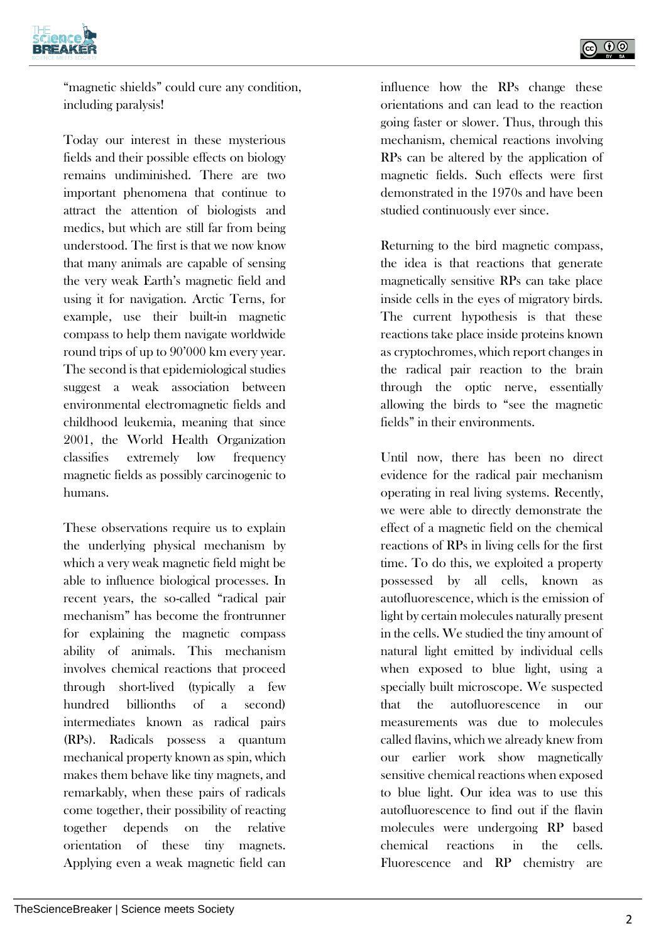

"magnetic shields" could cure any condition, including paralysis!

Today our interest in these mysterious fields and their possible effects on biology remains undiminished. There are two important phenomena that continue to attract the attention of biologists and medics, but which are still far from being understood. The first is that we now know that many animals are capable of sensing the very weak Earth's magnetic field and using it for navigation. Arctic Terns, for example, use their built-in magnetic compass to help them navigate worldwide round trips of up to 90'000 km every year. The second is that epidemiological studies suggest a weak association between environmental electromagnetic fields and childhood leukemia, meaning that since 2001, the World Health Organization classifies extremely low frequency magnetic fields as possibly carcinogenic to humans.

These observations require us to explain the underlying physical mechanism by which a very weak magnetic field might be able to influence biological processes. In recent years, the so-called "radical pair mechanism" has become the frontrunner for explaining the magnetic compass ability of animals. This mechanism involves chemical reactions that proceed through short-lived (typically a few hundred billionths of a second) intermediates known as radical pairs (RPs). Radicals possess a quantum mechanical property known as spin, which makes them behave like tiny magnets, and remarkably, when these pairs of radicals come together, their possibility of reacting together depends on the relative orientation of these tiny magnets. Applying even a weak magnetic field can influence how the RPs change these orientations and can lead to the reaction going faster or slower. Thus, through this mechanism, chemical reactions involving RPs can be altered by the application of magnetic fields. Such effects were first demonstrated in the 1970s and have been studied continuously ever since.

Returning to the bird magnetic compass, the idea is that reactions that generate magnetically sensitive RPs can take place inside cells in the eyes of migratory birds. The current hypothesis is that these reactions take place inside proteins known as cryptochromes, which report changes in the radical pair reaction to the brain through the optic nerve, essentially allowing the birds to "see the magnetic fields" in their environments.

Until now, there has been no direct evidence for the radical pair mechanism operating in real living systems. Recently, we were able to directly demonstrate the effect of a magnetic field on the chemical reactions of RPs in living cells for the first time. To do this, we exploited a property possessed by all cells, known as autofluorescence, which is the emission of light by certain molecules naturally present in the cells. We studied the tiny amount of natural light emitted by individual cells when exposed to blue light, using a specially built microscope. We suspected that the autofluorescence in our measurements was due to molecules called flavins, which we already knew from our earlier work show magnetically sensitive chemical reactions when exposed to blue light. Our idea was to use this autofluorescence to find out if the flavin molecules were undergoing RP based chemical reactions in the cells. Fluorescence and RP chemistry are